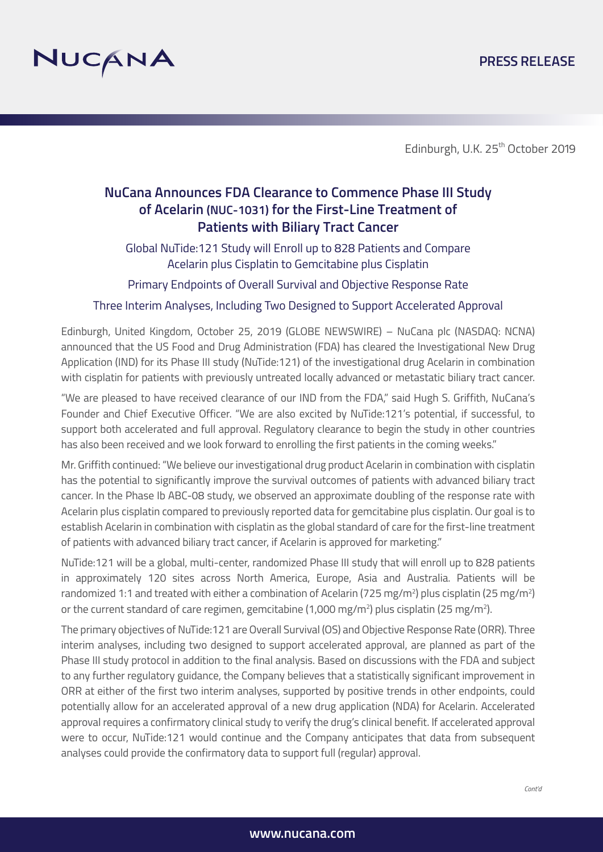# **PRESS RELEASE**



Edinburgh, U.K. 25<sup>th</sup> October 2019

# **NuCana Announces FDA Clearance to Commence Phase III Study of Acelarin (NUC-1031) for the First-Line Treatment of Patients with Biliary Tract Cancer**

Global NuTide:121 Study will Enroll up to 828 Patients and Compare Acelarin plus Cisplatin to Gemcitabine plus Cisplatin

Primary Endpoints of Overall Survival and Objective Response Rate

Three Interim Analyses, Including Two Designed to Support Accelerated Approval

Edinburgh, United Kingdom, October 25, 2019 (GLOBE NEWSWIRE) – NuCana plc (NASDAQ: NCNA) announced that the US Food and Drug Administration (FDA) has cleared the Investigational New Drug Application (IND) for its Phase III study (NuTide:121) of the investigational drug Acelarin in combination with cisplatin for patients with previously untreated locally advanced or metastatic biliary tract cancer.

"We are pleased to have received clearance of our IND from the FDA," said Hugh S. Griffith, NuCana's Founder and Chief Executive Officer. "We are also excited by NuTide:121's potential, if successful, to support both accelerated and full approval. Regulatory clearance to begin the study in other countries has also been received and we look forward to enrolling the first patients in the coming weeks."

Mr. Griffith continued: "We believe our investigational drug product Acelarin in combination with cisplatin has the potential to significantly improve the survival outcomes of patients with advanced biliary tract cancer. In the Phase Ib ABC-08 study, we observed an approximate doubling of the response rate with Acelarin plus cisplatin compared to previously reported data for gemcitabine plus cisplatin. Our goal is to establish Acelarin in combination with cisplatin as the global standard of care for the first-line treatment of patients with advanced biliary tract cancer, if Acelarin is approved for marketing."

NuTide:121 will be a global, multi-center, randomized Phase III study that will enroll up to 828 patients in approximately 120 sites across North America, Europe, Asia and Australia. Patients will be randomized 1:1 and treated with either a combination of Acelarin (725 mg/m²) plus cisplatin (25 mg/m²) or the current standard of care regimen, gemcitabine (1,000 mg/m²) plus cisplatin (25 mg/m²).

The primary objectives of NuTide:121 are Overall Survival (OS) and Objective Response Rate (ORR). Three interim analyses, including two designed to support accelerated approval, are planned as part of the Phase III study protocol in addition to the final analysis. Based on discussions with the FDA and subject to any further regulatory guidance, the Company believes that a statistically significant improvement in ORR at either of the first two interim analyses, supported by positive trends in other endpoints, could potentially allow for an accelerated approval of a new drug application (NDA) for Acelarin. Accelerated approval requires a confirmatory clinical study to verify the drug's clinical benefit. If accelerated approval were to occur, NuTide:121 would continue and the Company anticipates that data from subsequent analyses could provide the confirmatory data to support full (regular) approval.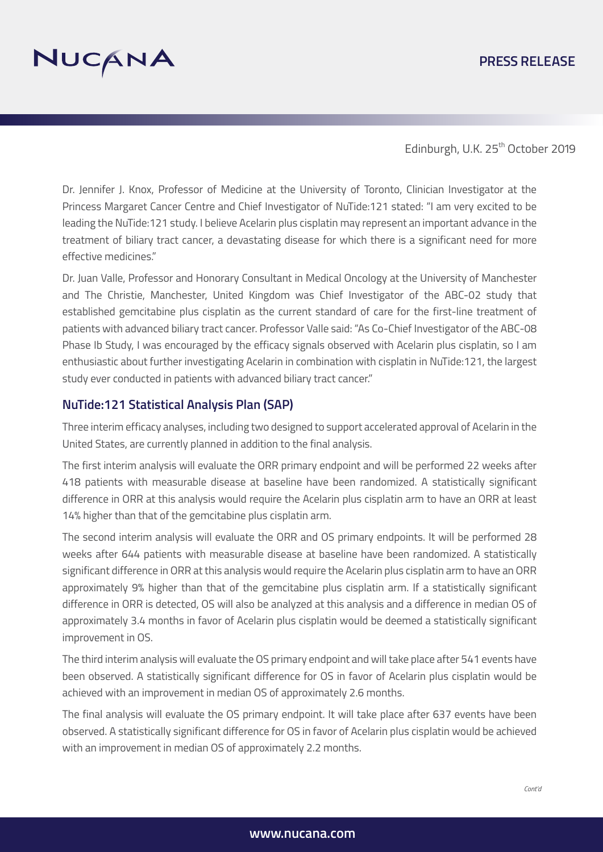# **PRESS RELEASE**



Edinburgh, U.K. 25<sup>th</sup> October 2019

Dr. Jennifer J. Knox, Professor of Medicine at the University of Toronto, Clinician Investigator at the Princess Margaret Cancer Centre and Chief Investigator of NuTide:121 stated: "I am very excited to be leading the NuTide:121 study. I believe Acelarin plus cisplatin may represent an important advance in the treatment of biliary tract cancer, a devastating disease for which there is a significant need for more effective medicines."

Dr. Juan Valle, Professor and Honorary Consultant in Medical Oncology at the University of Manchester and The Christie, Manchester, United Kingdom was Chief Investigator of the ABC-02 study that established gemcitabine plus cisplatin as the current standard of care for the first-line treatment of patients with advanced biliary tract cancer. Professor Valle said: "As Co-Chief Investigator of the ABC-08 Phase Ib Study, I was encouraged by the efficacy signals observed with Acelarin plus cisplatin, so I am enthusiastic about further investigating Acelarin in combination with cisplatin in NuTide:121, the largest study ever conducted in patients with advanced biliary tract cancer."

# **NuTide:121 Statistical Analysis Plan (SAP)**

Three interim efficacy analyses, including two designed to support accelerated approval of Acelarin in the United States, are currently planned in addition to the final analysis.

The first interim analysis will evaluate the ORR primary endpoint and will be performed 22 weeks after 418 patients with measurable disease at baseline have been randomized. A statistically significant difference in ORR at this analysis would require the Acelarin plus cisplatin arm to have an ORR at least 14% higher than that of the gemcitabine plus cisplatin arm.

The second interim analysis will evaluate the ORR and OS primary endpoints. It will be performed 28 weeks after 644 patients with measurable disease at baseline have been randomized. A statistically significant difference in ORR at this analysis would require the Acelarin plus cisplatin arm to have an ORR approximately 9% higher than that of the gemcitabine plus cisplatin arm. If a statistically significant difference in ORR is detected, OS will also be analyzed at this analysis and a difference in median OS of approximately 3.4 months in favor of Acelarin plus cisplatin would be deemed a statistically significant improvement in OS.

The third interim analysis will evaluate the OS primary endpoint and will take place after 541 events have been observed. A statistically significant difference for OS in favor of Acelarin plus cisplatin would be achieved with an improvement in median OS of approximately 2.6 months.

The final analysis will evaluate the OS primary endpoint. It will take place after 637 events have been observed. A statistically significant difference for OS in favor of Acelarin plus cisplatin would be achieved with an improvement in median OS of approximately 2.2 months.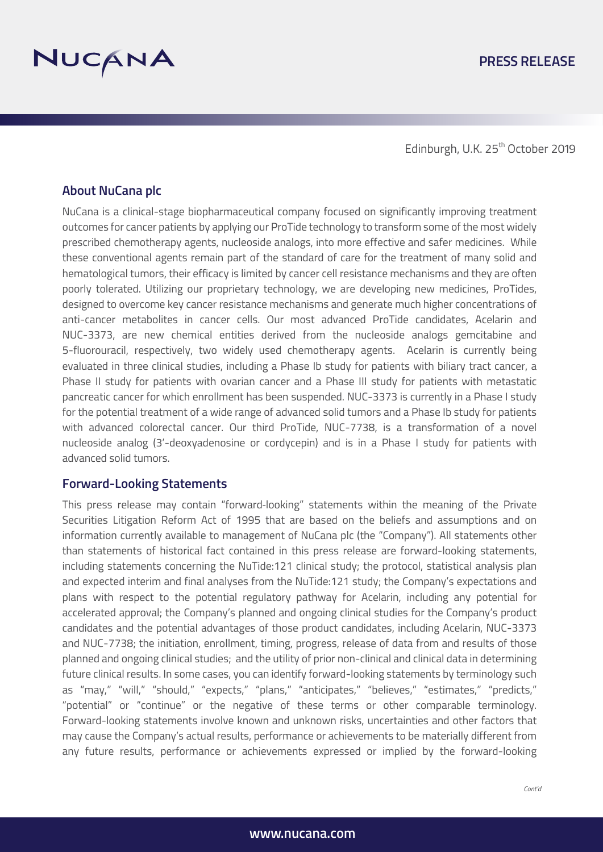

Edinburgh, U.K. 25<sup>th</sup> October 2019

### **About NuCana plc**

NuCana is a clinical-stage biopharmaceutical company focused on significantly improving treatment outcomes for cancer patients by applying our ProTide technology to transform some of the most widely prescribed chemotherapy agents, nucleoside analogs, into more effective and safer medicines. While these conventional agents remain part of the standard of care for the treatment of many solid and hematological tumors, their efficacy is limited by cancer cell resistance mechanisms and they are often poorly tolerated. Utilizing our proprietary technology, we are developing new medicines, ProTides, designed to overcome key cancer resistance mechanisms and generate much higher concentrations of anti-cancer metabolites in cancer cells. Our most advanced ProTide candidates, Acelarin and NUC-3373, are new chemical entities derived from the nucleoside analogs gemcitabine and 5-fluorouracil, respectively, two widely used chemotherapy agents. Acelarin is currently being evaluated in three clinical studies, including a Phase Ib study for patients with biliary tract cancer, a Phase II study for patients with ovarian cancer and a Phase III study for patients with metastatic pancreatic cancer for which enrollment has been suspended. NUC-3373 is currently in a Phase I study for the potential treatment of a wide range of advanced solid tumors and a Phase Ib study for patients with advanced colorectal cancer. Our third ProTide, NUC-7738, is a transformation of a novel nucleoside analog (3'-deoxyadenosine or cordycepin) and is in a Phase I study for patients with advanced solid tumors.

#### **Forward-Looking Statements**

This press release may contain "forward-looking" statements within the meaning of the Private Securities Litigation Reform Act of 1995 that are based on the beliefs and assumptions and on information currently available to management of NuCana plc (the "Company"). All statements other than statements of historical fact contained in this press release are forward-looking statements, including statements concerning the NuTide:121 clinical study; the protocol, statistical analysis plan and expected interim and final analyses from the NuTide:121 study; the Company's expectations and plans with respect to the potential regulatory pathway for Acelarin, including any potential for accelerated approval; the Company's planned and ongoing clinical studies for the Company's product candidates and the potential advantages of those product candidates, including Acelarin, NUC-3373 and NUC-7738; the initiation, enrollment, timing, progress, release of data from and results of those planned and ongoing clinical studies; and the utility of prior non-clinical and clinical data in determining future clinical results. In some cases, you can identify forward-looking statements by terminology such as "may," "will," "should," "expects," "plans," "anticipates," "believes," "estimates," "predicts," "potential" or "continue" or the negative of these terms or other comparable terminology. Forward-looking statements involve known and unknown risks, uncertainties and other factors that may cause the Company's actual results, performance or achievements to be materially different from any future results, performance or achievements expressed or implied by the forward-looking